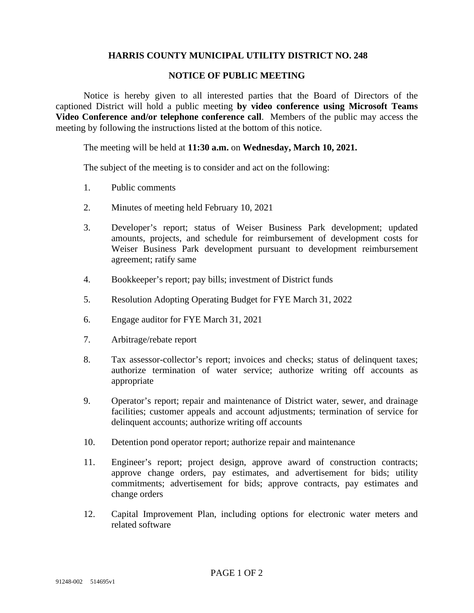## **HARRIS COUNTY MUNICIPAL UTILITY DISTRICT NO. 248**

## **NOTICE OF PUBLIC MEETING**

Notice is hereby given to all interested parties that the Board of Directors of the captioned District will hold a public meeting **by video conference using Microsoft Teams Video Conference and/or telephone conference call**. Members of the public may access the meeting by following the instructions listed at the bottom of this notice.

## The meeting will be held at **11:30 a.m.** on **Wednesday, March 10, 2021.**

The subject of the meeting is to consider and act on the following:

- 1. Public comments
- 2. Minutes of meeting held February 10, 2021
- 3. Developer's report; status of Weiser Business Park development; updated amounts, projects, and schedule for reimbursement of development costs for Weiser Business Park development pursuant to development reimbursement agreement; ratify same
- 4. Bookkeeper's report; pay bills; investment of District funds
- 5. Resolution Adopting Operating Budget for FYE March 31, 2022
- 6. Engage auditor for FYE March 31, 2021
- 7. Arbitrage/rebate report
- 8. Tax assessor-collector's report; invoices and checks; status of delinquent taxes; authorize termination of water service; authorize writing off accounts as appropriate
- 9. Operator's report; repair and maintenance of District water, sewer, and drainage facilities; customer appeals and account adjustments; termination of service for delinquent accounts; authorize writing off accounts
- 10. Detention pond operator report; authorize repair and maintenance
- 11. Engineer's report; project design, approve award of construction contracts; approve change orders, pay estimates, and advertisement for bids; utility commitments; advertisement for bids; approve contracts, pay estimates and change orders
- 12. Capital Improvement Plan, including options for electronic water meters and related software